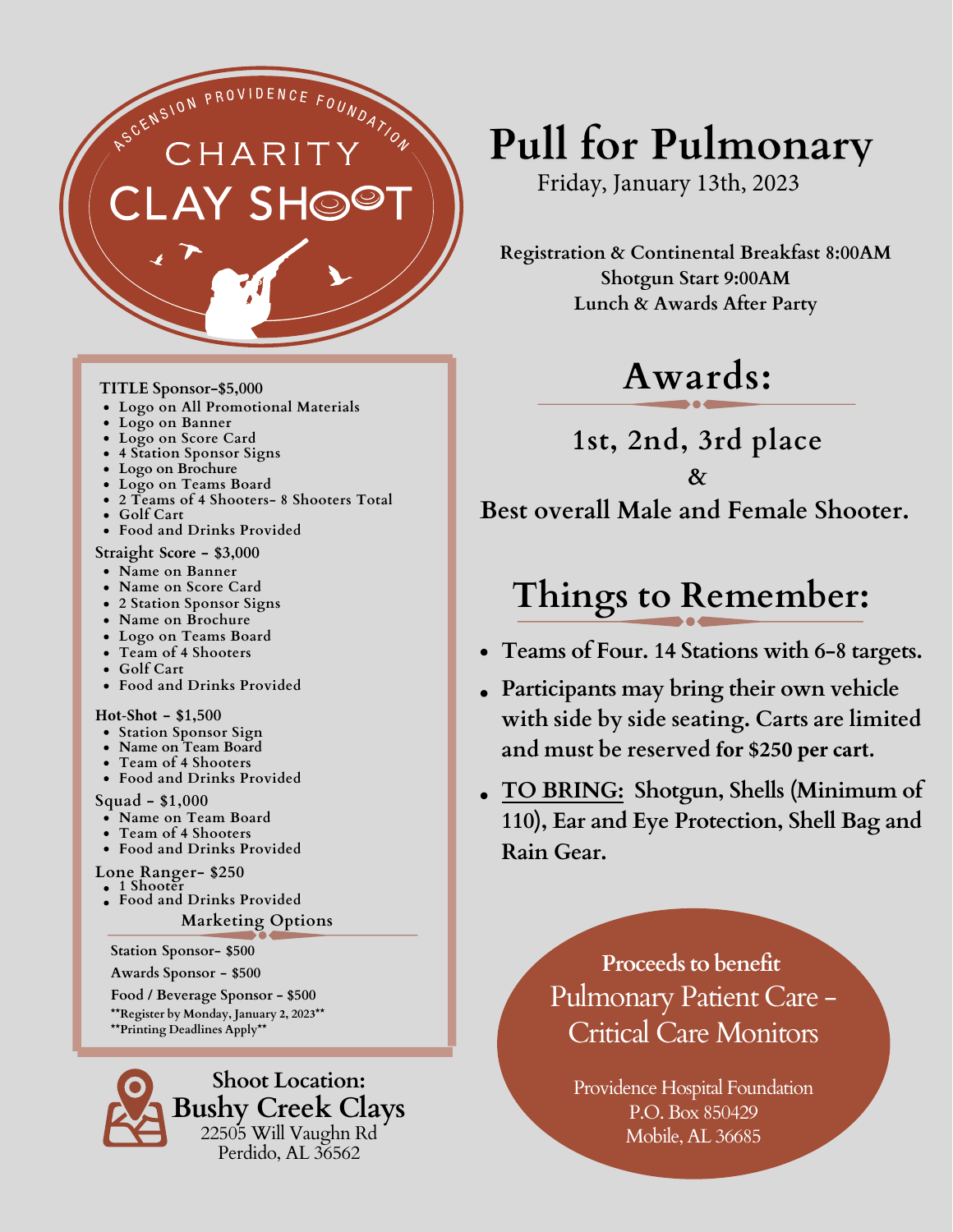

#### **TITLE Sponsor-\$5,000**

- **Logo on All Promotional Materials**
- **Logo on Banner**
- **Logo on Score Card**
- **4 Station Sponsor Signs**
- **Logo on Brochure**
- **Logo on Teams Board**
- **2 Teams of 4 Shooters- 8 Shooters Total**
- **Golf Cart**
- **Food and Drinks Provided**

#### **Straight Score - \$3,000**

- **Name on Banner**
- **Name on Score Card**
- **2 Station Sponsor Signs**
- **Name on Brochure**
- **Logo on Teams Board**
- **Team of 4 Shooters**
- **Golf Cart**
- **Food and Drinks Provided**

#### **Hot-Shot - \$1,500**

- **Station Sponsor Sign**
- **Name on Team Board**
- **Team of 4 Shooters**
- **Food and Drinks Provided**

**Squad - \$1,000**

- **Name on Team Board**
- **Team of 4 Shooters**
- **Food and Drinks Provided**

**Lone Ranger- \$250**

 $\bullet$  1 Shoote **Food and Drinks Provided**

**Marketing Options**

**Station Sponsor- \$500** 

**Awards Sponsor - \$500** 

**Food / Beverage Sponsor - \$500 \*\*Register by Monday, January 2, 2023\*\* \*\*Printing Deadlines Apply\*\***



# **Pull for Pulmonary**

Friday, January 13th, 2023

**Registration & Continental Breakfast 8:00AM Shotgun Start 9:00AM Lunch & Awards After Party**

### **Awards:**

**1st, 2nd, 3rd place & Best overall Male and Female Shooter.**

### **Things to Remember:**

- **Teams of Four. 14 Stations with 6-8 targets.**
- **Participants may bring their own vehicle with side by side seating. Carts are limited and must be reserved for \$250 per cart.**
- **TO BRING: Shotgun, Shells (Minimum of 110), Ear and Eye Protection, Shell Bag and Rain Gear.**

### **Proceeds to benefit** Pulmonary Patient Care - Critical Care Monitors

Providence Hospital Foundation P.O. Box 850429 Mobile, AL 36685